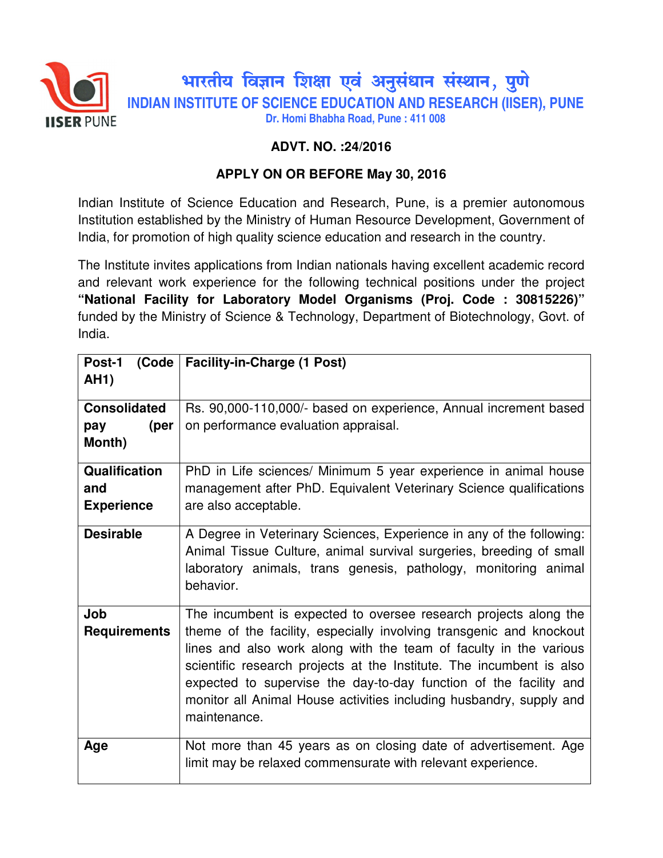

## **ADVT. NO. :24/2016**

## **APPLY ON OR BEFORE May 30, 2016**

Indian Institute of Science Education and Research, Pune, is a premier autonomous Institution established by the Ministry of Human Resource Development, Government of India, for promotion of high quality science education and research in the country.

The Institute invites applications from Indian nationals having excellent academic record and relevant work experience for the following technical positions under the project **"National Facility for Laboratory Model Organisms (Proj. Code : 30815226)"**  funded by the Ministry of Science & Technology, Department of Biotechnology, Govt. of India.

| Post-1<br>(Code     | <b>Facility-in-Charge (1 Post)</b>                                   |
|---------------------|----------------------------------------------------------------------|
| <b>AH1)</b>         |                                                                      |
|                     |                                                                      |
| <b>Consolidated</b> | Rs. 90,000-110,000/- based on experience, Annual increment based     |
| (per<br>pay         | on performance evaluation appraisal.                                 |
| Month)              |                                                                      |
| Qualification       | PhD in Life sciences/ Minimum 5 year experience in animal house      |
| and                 | management after PhD. Equivalent Veterinary Science qualifications   |
| <b>Experience</b>   | are also acceptable.                                                 |
|                     |                                                                      |
| <b>Desirable</b>    | A Degree in Veterinary Sciences, Experience in any of the following: |
|                     | Animal Tissue Culture, animal survival surgeries, breeding of small  |
|                     | laboratory animals, trans genesis, pathology, monitoring animal      |
|                     | behavior.                                                            |
|                     |                                                                      |
| Job                 | The incumbent is expected to oversee research projects along the     |
| <b>Requirements</b> | theme of the facility, especially involving transgenic and knockout  |
|                     | lines and also work along with the team of faculty in the various    |
|                     | scientific research projects at the Institute. The incumbent is also |
|                     | expected to supervise the day-to-day function of the facility and    |
|                     | monitor all Animal House activities including husbandry, supply and  |
|                     | maintenance.                                                         |
|                     |                                                                      |
| Age                 | Not more than 45 years as on closing date of advertisement. Age      |
|                     | limit may be relaxed commensurate with relevant experience.          |
|                     |                                                                      |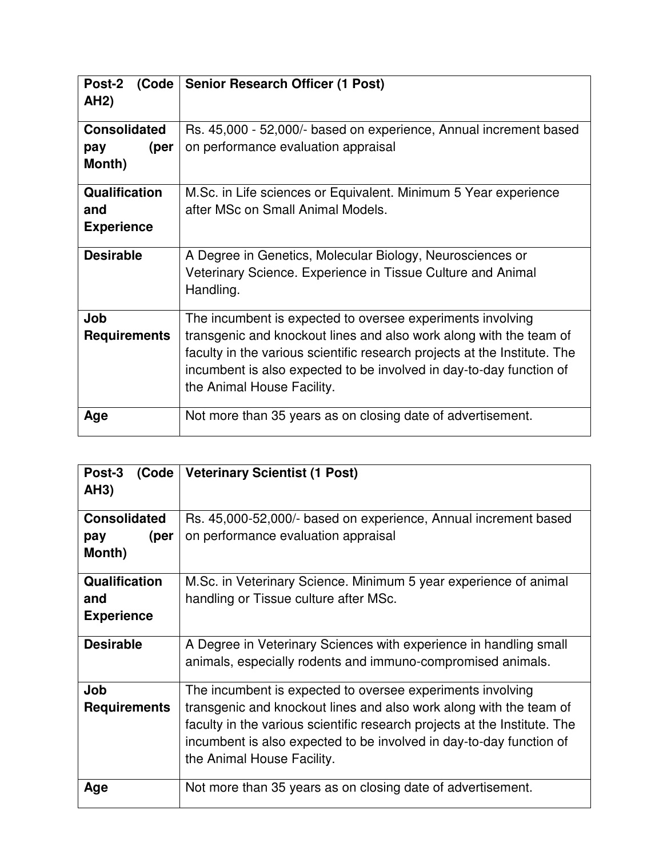| Post-2<br><b>AH2)</b>                            | (Code   Senior Research Officer (1 Post)                                                                                                                                                                                                                                                                           |
|--------------------------------------------------|--------------------------------------------------------------------------------------------------------------------------------------------------------------------------------------------------------------------------------------------------------------------------------------------------------------------|
| <b>Consolidated</b><br>(per<br>pay<br>Month)     | Rs. 45,000 - 52,000/- based on experience, Annual increment based<br>on performance evaluation appraisal                                                                                                                                                                                                           |
| <b>Qualification</b><br>and<br><b>Experience</b> | M.Sc. in Life sciences or Equivalent. Minimum 5 Year experience<br>after MSc on Small Animal Models.                                                                                                                                                                                                               |
| <b>Desirable</b>                                 | A Degree in Genetics, Molecular Biology, Neurosciences or<br>Veterinary Science. Experience in Tissue Culture and Animal<br>Handling.                                                                                                                                                                              |
| Job<br><b>Requirements</b>                       | The incumbent is expected to oversee experiments involving<br>transgenic and knockout lines and also work along with the team of<br>faculty in the various scientific research projects at the Institute. The<br>incumbent is also expected to be involved in day-to-day function of<br>the Animal House Facility. |
| Age                                              | Not more than 35 years as on closing date of advertisement.                                                                                                                                                                                                                                                        |

| Post-3<br>(Code      | <b>Veterinary Scientist (1 Post)</b>                                      |
|----------------------|---------------------------------------------------------------------------|
| AH3)                 |                                                                           |
| <b>Consolidated</b>  | Rs. 45,000-52,000/- based on experience, Annual increment based           |
| (per<br>pay          | on performance evaluation appraisal                                       |
| Month)               |                                                                           |
| <b>Qualification</b> | M.Sc. in Veterinary Science. Minimum 5 year experience of animal          |
| and                  | handling or Tissue culture after MSc.                                     |
| <b>Experience</b>    |                                                                           |
| <b>Desirable</b>     | A Degree in Veterinary Sciences with experience in handling small         |
|                      | animals, especially rodents and immuno-compromised animals.               |
| Job                  | The incumbent is expected to oversee experiments involving                |
| <b>Requirements</b>  | transgenic and knockout lines and also work along with the team of        |
|                      | faculty in the various scientific research projects at the Institute. The |
|                      | incumbent is also expected to be involved in day-to-day function of       |
|                      | the Animal House Facility.                                                |
| Age                  | Not more than 35 years as on closing date of advertisement.               |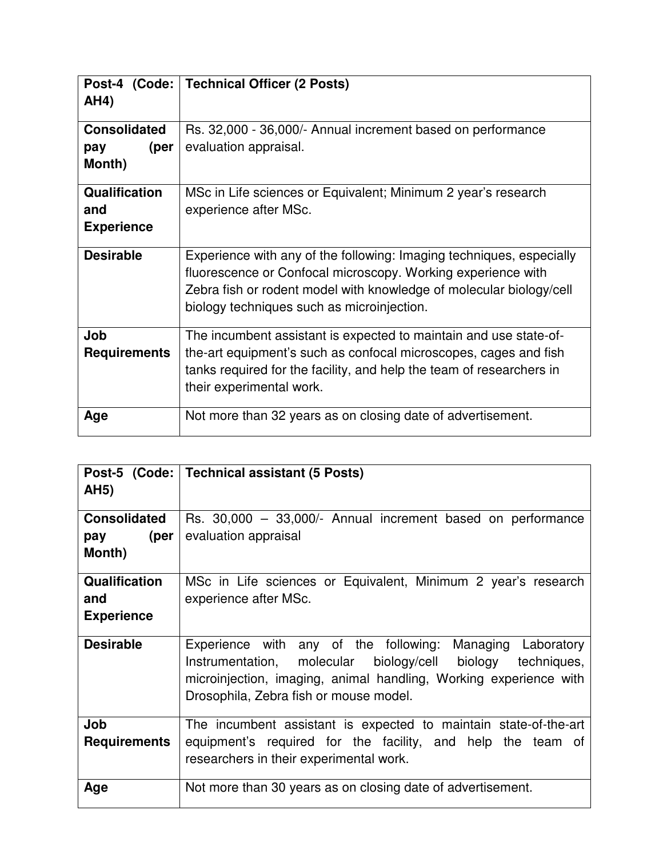| AH4)                                         | Post-4 (Code: Technical Officer (2 Posts)                                                                                                                                                                                                                 |
|----------------------------------------------|-----------------------------------------------------------------------------------------------------------------------------------------------------------------------------------------------------------------------------------------------------------|
| <b>Consolidated</b><br>(per<br>pay<br>Month) | Rs. 32,000 - 36,000/- Annual increment based on performance<br>evaluation appraisal.                                                                                                                                                                      |
| Qualification<br>and<br><b>Experience</b>    | MSc in Life sciences or Equivalent; Minimum 2 year's research<br>experience after MSc.                                                                                                                                                                    |
| <b>Desirable</b>                             | Experience with any of the following: Imaging techniques, especially<br>fluorescence or Confocal microscopy. Working experience with<br>Zebra fish or rodent model with knowledge of molecular biology/cell<br>biology techniques such as microinjection. |
| Job<br><b>Requirements</b>                   | The incumbent assistant is expected to maintain and use state-of-<br>the-art equipment's such as confocal microscopes, cages and fish<br>tanks required for the facility, and help the team of researchers in<br>their experimental work.                 |
| Age                                          | Not more than 32 years as on closing date of advertisement.                                                                                                                                                                                               |

|                            | Post-5 (Code: Technical assistant (5 Posts)                                                                                                                                                                                             |
|----------------------------|-----------------------------------------------------------------------------------------------------------------------------------------------------------------------------------------------------------------------------------------|
| <b>AH5)</b>                |                                                                                                                                                                                                                                         |
| <b>Consolidated</b>        | Rs. 30,000 - 33,000/- Annual increment based on performance                                                                                                                                                                             |
| $pay \qquad (per \q$       | evaluation appraisal                                                                                                                                                                                                                    |
| Month)                     |                                                                                                                                                                                                                                         |
| <b>Qualification</b>       | MSc in Life sciences or Equivalent, Minimum 2 year's research                                                                                                                                                                           |
| and                        | experience after MSc.                                                                                                                                                                                                                   |
| <b>Experience</b>          |                                                                                                                                                                                                                                         |
| <b>Desirable</b>           | Experience with any of the following: Managing Laboratory<br>Instrumentation, molecular biology/cell biology techniques,<br>microinjection, imaging, animal handling, Working experience with<br>Drosophila, Zebra fish or mouse model. |
| Job<br><b>Requirements</b> | The incumbent assistant is expected to maintain state-of-the-art<br>equipment's required for the facility, and help the team of<br>researchers in their experimental work.                                                              |
| Age                        | Not more than 30 years as on closing date of advertisement.                                                                                                                                                                             |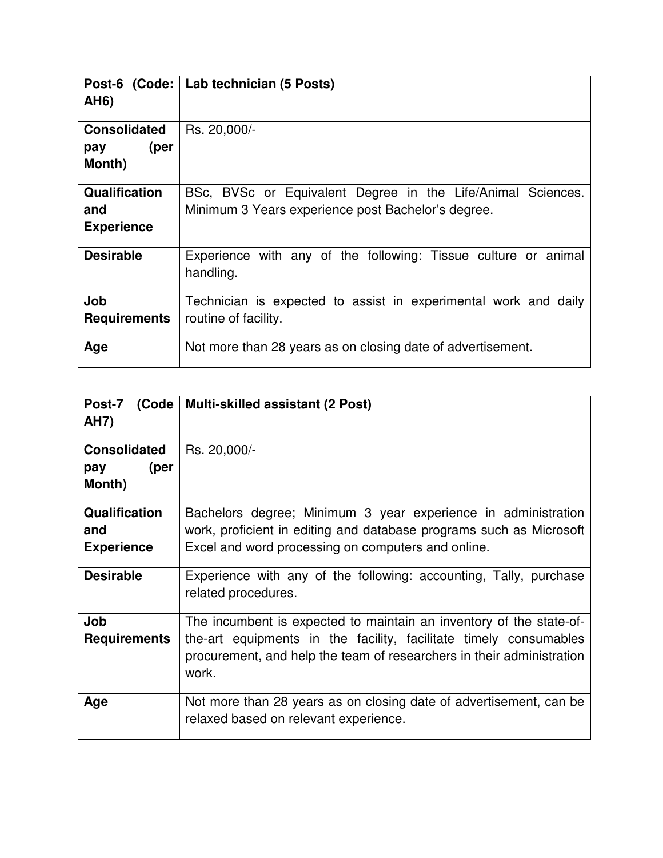| <b>AH6)</b>                                      | Post-6 (Code:   Lab technician (5 Posts)                                                                          |
|--------------------------------------------------|-------------------------------------------------------------------------------------------------------------------|
| <b>Consolidated</b><br>(per<br>pay<br>Month)     | Rs. 20,000/-                                                                                                      |
| <b>Qualification</b><br>and<br><b>Experience</b> | BSc, BVSc or Equivalent Degree in the Life/Animal Sciences.<br>Minimum 3 Years experience post Bachelor's degree. |
| <b>Desirable</b>                                 | Experience with any of the following: Tissue culture or animal<br>handling.                                       |
| Job<br><b>Requirements</b>                       | Technician is expected to assist in experimental work and daily<br>routine of facility.                           |
| Age                                              | Not more than 28 years as on closing date of advertisement.                                                       |

| Post-7 (Code         | Multi-skilled assistant (2 Post)                                                                                                                    |
|----------------------|-----------------------------------------------------------------------------------------------------------------------------------------------------|
| <b>AH7)</b>          |                                                                                                                                                     |
|                      |                                                                                                                                                     |
| <b>Consolidated</b>  | Rs. 20,000/-                                                                                                                                        |
| (per<br>pay          |                                                                                                                                                     |
| Month)               |                                                                                                                                                     |
| <b>Qualification</b> | Bachelors degree; Minimum 3 year experience in administration                                                                                       |
|                      |                                                                                                                                                     |
| and                  | work, proficient in editing and database programs such as Microsoft                                                                                 |
| <b>Experience</b>    | Excel and word processing on computers and online.                                                                                                  |
| <b>Desirable</b>     | Experience with any of the following: accounting, Tally, purchase<br>related procedures.                                                            |
| Job                  | The incumbent is expected to maintain an inventory of the state-of-                                                                                 |
| <b>Requirements</b>  | the-art equipments in the facility, facilitate timely consumables<br>procurement, and help the team of researchers in their administration<br>work. |
| Age                  | Not more than 28 years as on closing date of advertisement, can be<br>relaxed based on relevant experience.                                         |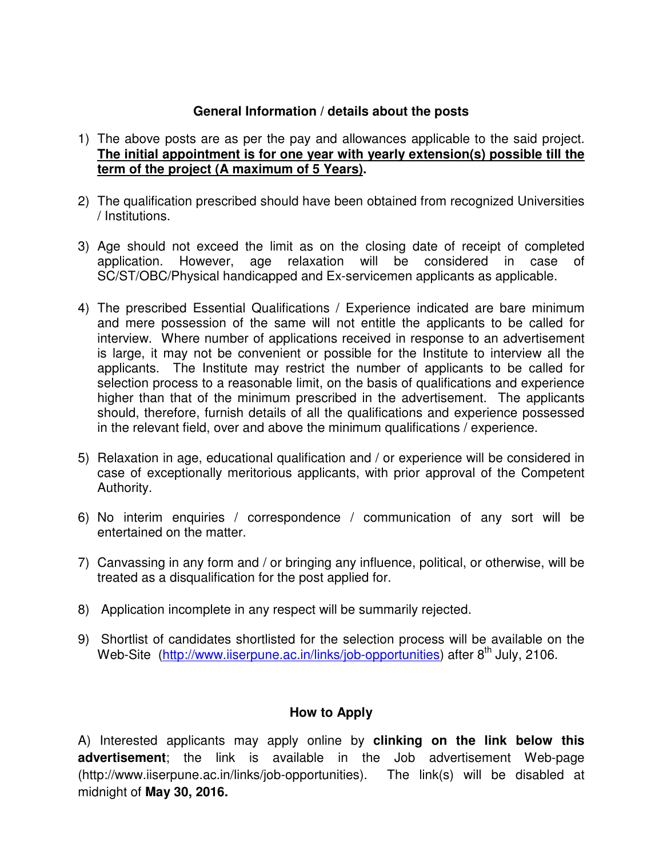## **General Information / details about the posts**

- 1) The above posts are as per the pay and allowances applicable to the said project. **The initial appointment is for one year with yearly extension(s) possible till the term of the project (A maximum of 5 Years).**
- 2) The qualification prescribed should have been obtained from recognized Universities / Institutions.
- 3) Age should not exceed the limit as on the closing date of receipt of completed application. However, age relaxation will be considered in case of SC/ST/OBC/Physical handicapped and Ex-servicemen applicants as applicable.
- 4) The prescribed Essential Qualifications / Experience indicated are bare minimum and mere possession of the same will not entitle the applicants to be called for interview. Where number of applications received in response to an advertisement is large, it may not be convenient or possible for the Institute to interview all the applicants. The Institute may restrict the number of applicants to be called for selection process to a reasonable limit, on the basis of qualifications and experience higher than that of the minimum prescribed in the advertisement. The applicants should, therefore, furnish details of all the qualifications and experience possessed in the relevant field, over and above the minimum qualifications / experience.
- 5) Relaxation in age, educational qualification and / or experience will be considered in case of exceptionally meritorious applicants, with prior approval of the Competent Authority.
- 6) No interim enquiries / correspondence / communication of any sort will be entertained on the matter.
- 7) Canvassing in any form and / or bringing any influence, political, or otherwise, will be treated as a disqualification for the post applied for.
- 8) Application incomplete in any respect will be summarily rejected.
- 9) Shortlist of candidates shortlisted for the selection process will be available on the Web-Site (http://www.iiserpune.ac.in/links/job-opportunities) after 8<sup>th</sup> July, 2106.

## **How to Apply**

A) Interested applicants may apply online by **clinking on the link below this advertisement**; the link is available in the Job advertisement Web-page (http://www.iiserpune.ac.in/links/job-opportunities). The link(s) will be disabled at midnight of **May 30, 2016.**